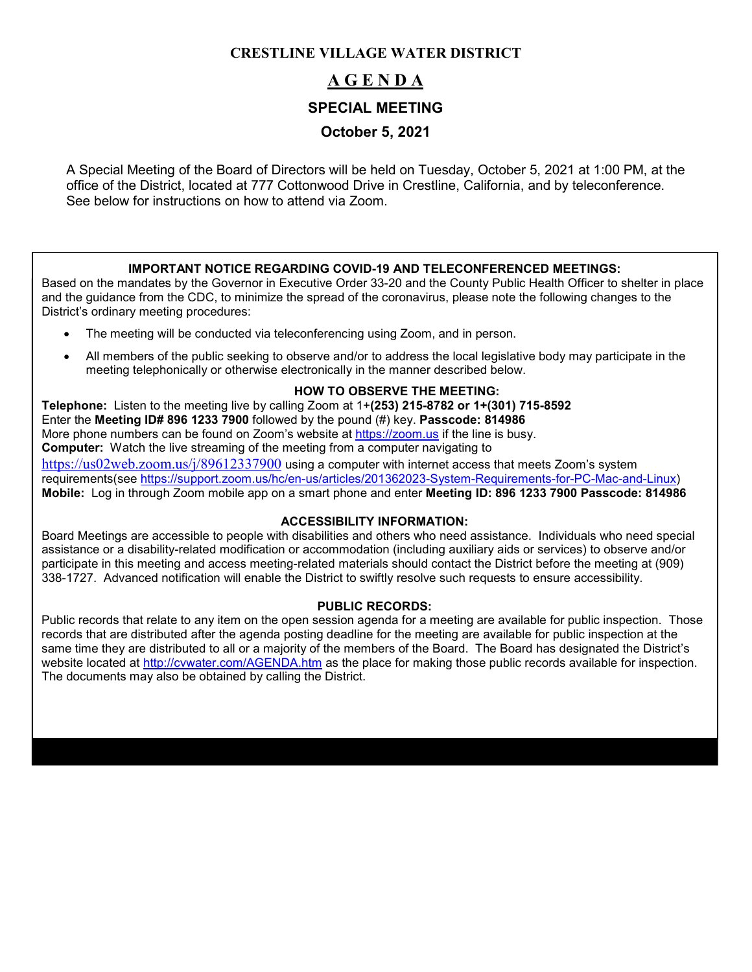# **CRESTLINE VILLAGE WATER DISTRICT**

# **A G E N D A**

## **SPECIAL MEETING**

# **October 5, 2021**

A Special Meeting of the Board of Directors will be held on Tuesday, October 5, 2021 at 1:00 PM, at the office of the District, located at 777 Cottonwood Drive in Crestline, California, and by teleconference. See below for instructions on how to attend via Zoom.

#### **IMPORTANT NOTICE REGARDING COVID-19 AND TELECONFERENCED MEETINGS:**

Based on the mandates by the Governor in Executive Order 33-20 and the County Public Health Officer to shelter in place and the guidance from the CDC, to minimize the spread of the coronavirus, please note the following changes to the District's ordinary meeting procedures:

- The meeting will be conducted via teleconferencing using Zoom, and in person.
- All members of the public seeking to observe and/or to address the local legislative body may participate in the meeting telephonically or otherwise electronically in the manner described below.

## **HOW TO OBSERVE THE MEETING:**

**Telephone:** Listen to the meeting live by calling Zoom at 1+**(253) 215-8782 or 1+(301) 715-8592** Enter the **Meeting ID# 896 1233 7900** followed by the pound (#) key. **Passcode: 814986** More phone numbers can be found on Zoom's website at [https://zoom.us](https://zoom.us/) if the line is busy. **Computer:** Watch the live streaming of the meeting from a computer navigating to [https://us02web.zoom.us/j/89612337900](https://us02web.zoom.us/j/896123379005) using a computer with internet access that meets Zoom's system requirements(see [https://support.zoom.us/hc/en-us/articles/201362023-System-Requirements-for-PC-Mac-and-Linux\)](https://support.zoom.us/hc/en-us/articles/201362023-System-Requirements-for-PC-Mac-and-Linux) **Mobile:** Log in through Zoom mobile app on a smart phone and enter **Meeting ID: 896 1233 7900 Passcode: 814986**

#### **ACCESSIBILITY INFORMATION:**

Board Meetings are accessible to people with disabilities and others who need assistance. Individuals who need special assistance or a disability-related modification or accommodation (including auxiliary aids or services) to observe and/or participate in this meeting and access meeting-related materials should contact the District before the meeting at (909) 338-1727. Advanced notification will enable the District to swiftly resolve such requests to ensure accessibility.

#### **PUBLIC RECORDS:**

Public records that relate to any item on the open session agenda for a meeting are available for public inspection. Those records that are distributed after the agenda posting deadline for the meeting are available for public inspection at the same time they are distributed to all or a majority of the members of the Board. The Board has designated the District's website located at<http://cvwater.com/AGENDA.htm> as the place for making those public records available for inspection. The documents may also be obtained by calling the District.